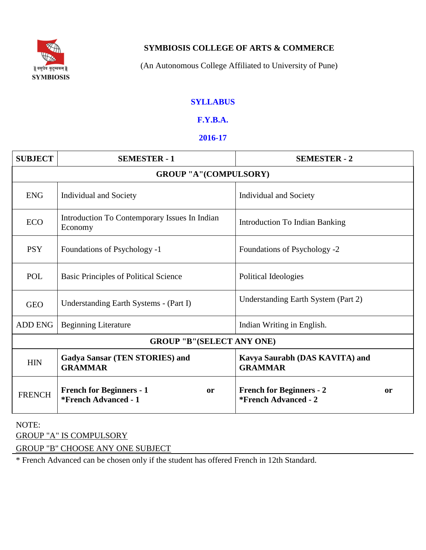

## **SYMBIOSIS COLLEGE OF ARTS & COMMERCE**

(An Autonomous College Affiliated to University of Pune)

### **SYLLABUS**

### **F.Y.B.A.**

### **2016-17**

| <b>SUBJECT</b>               | <b>SEMESTER - 1</b>                                                  | <b>SEMESTER - 2</b>                                                      |  |
|------------------------------|----------------------------------------------------------------------|--------------------------------------------------------------------------|--|
| <b>GROUP "A"(COMPULSORY)</b> |                                                                      |                                                                          |  |
| <b>ENG</b>                   | <b>Individual and Society</b>                                        | <b>Individual and Society</b>                                            |  |
| <b>ECO</b>                   | Introduction To Contemporary Issues In Indian<br>Economy             | <b>Introduction To Indian Banking</b>                                    |  |
| <b>PSY</b>                   | Foundations of Psychology -1                                         | Foundations of Psychology -2                                             |  |
| <b>POL</b>                   | Basic Principles of Political Science                                | Political Ideologies                                                     |  |
| <b>GEO</b>                   | Understanding Earth Systems - (Part I)                               | Understanding Earth System (Part 2)                                      |  |
| <b>ADD ENG</b>               | <b>Beginning Literature</b>                                          | Indian Writing in English.                                               |  |
|                              | <b>GROUP "B"(SELECT ANY ONE)</b>                                     |                                                                          |  |
| <b>HIN</b>                   | <b>Gadya Sansar (TEN STORIES) and</b><br><b>GRAMMAR</b>              | Kavya Saurabh (DAS KAVITA) and<br><b>GRAMMAR</b>                         |  |
| <b>FRENCH</b>                | <b>French for Beginners - 1</b><br>or<br><i>*French Advanced - 1</i> | <b>French for Beginners - 2</b><br><sub>or</sub><br>*French Advanced - 2 |  |

NOTE:

GROUP "A" IS COMPULSORY

GROUP "B" CHOOSE ANY ONE SUBJECT

\* French Advanced can be chosen only if the student has offered French in 12th Standard.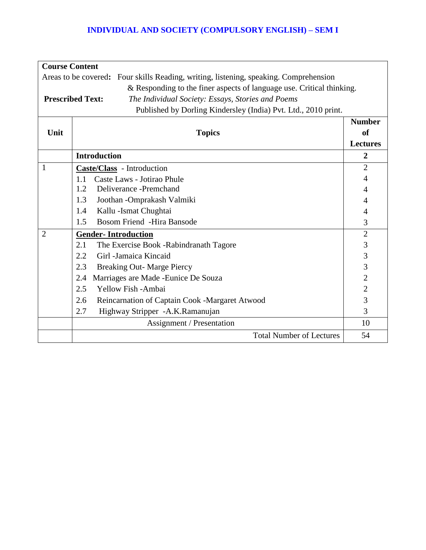## **INDIVIDUAL AND SOCIETY (COMPULSORY ENGLISH) – SEM I**

|                                                                                       | <b>Course Content</b>                                                        |                  |  |
|---------------------------------------------------------------------------------------|------------------------------------------------------------------------------|------------------|--|
| Areas to be covered: Four skills Reading, writing, listening, speaking. Comprehension |                                                                              |                  |  |
|                                                                                       | & Responding to the finer aspects of language use. Critical thinking.        |                  |  |
|                                                                                       | <b>Prescribed Text:</b><br>The Individual Society: Essays, Stories and Poems |                  |  |
|                                                                                       | Published by Dorling Kindersley (India) Pvt. Ltd., 2010 print.               |                  |  |
|                                                                                       |                                                                              | <b>Number</b>    |  |
| Unit                                                                                  | <b>Topics</b>                                                                | of               |  |
|                                                                                       |                                                                              | <b>Lectures</b>  |  |
|                                                                                       | <b>Introduction</b>                                                          | $\boldsymbol{2}$ |  |
| 1                                                                                     | Caste/Class - Introduction                                                   | $\overline{2}$   |  |
|                                                                                       | Caste Laws - Jotirao Phule<br>1.1                                            | 4                |  |
|                                                                                       | 1.2<br>Deliverance - Premchand                                               | 4                |  |
|                                                                                       | 1.3<br>Joothan -Omprakash Valmiki                                            | 4                |  |
|                                                                                       | 1.4<br>Kallu - Ismat Chughtai                                                | 4                |  |
|                                                                                       | <b>Bosom Friend</b> -Hira Bansode<br>1.5                                     | 3                |  |
| $\overline{2}$                                                                        | <b>Gender-Introduction</b>                                                   | $\overline{2}$   |  |
|                                                                                       | 2.1<br>The Exercise Book - Rabindranath Tagore                               | 3                |  |
|                                                                                       | 2.2<br>Girl - Jamaica Kincaid                                                | 3                |  |
|                                                                                       | 2.3<br><b>Breaking Out- Marge Piercy</b>                                     | 3                |  |
|                                                                                       | Marriages are Made - Eunice De Souza<br>2.4                                  | $\overline{2}$   |  |
|                                                                                       | 2.5<br>Yellow Fish -Ambai                                                    | $\overline{2}$   |  |
|                                                                                       | 2.6<br>Reincarnation of Captain Cook -Margaret Atwood                        | 3                |  |
|                                                                                       | 2.7<br>Highway Stripper -A.K.Ramanujan                                       | 3                |  |
|                                                                                       | Assignment / Presentation                                                    | 10               |  |
|                                                                                       | <b>Total Number of Lectures</b>                                              | 54               |  |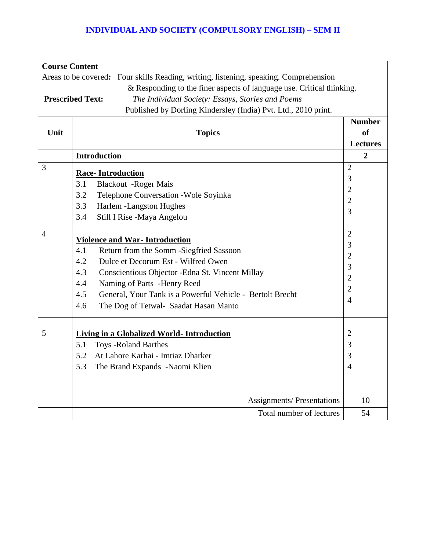## **INDIVIDUAL AND SOCIETY (COMPULSORY ENGLISH) – SEM II**

| <b>Course Content</b>                                                                 |                                                                                        |                 |  |
|---------------------------------------------------------------------------------------|----------------------------------------------------------------------------------------|-----------------|--|
| Areas to be covered: Four skills Reading, writing, listening, speaking. Comprehension |                                                                                        |                 |  |
| & Responding to the finer aspects of language use. Critical thinking.                 |                                                                                        |                 |  |
|                                                                                       | <b>Prescribed Text:</b><br>The Individual Society: Essays, Stories and Poems           |                 |  |
|                                                                                       | Published by Dorling Kindersley (India) Pvt. Ltd., 2010 print.                         |                 |  |
|                                                                                       |                                                                                        | <b>Number</b>   |  |
| Unit                                                                                  | <b>Topics</b>                                                                          | <b>of</b>       |  |
|                                                                                       |                                                                                        | <b>Lectures</b> |  |
|                                                                                       | <b>Introduction</b>                                                                    | $\overline{2}$  |  |
| 3                                                                                     |                                                                                        | $\overline{2}$  |  |
|                                                                                       | <b>Race-Introduction</b>                                                               | 3               |  |
|                                                                                       | 3.1<br><b>Blackout</b> - Roger Mais                                                    | $\overline{2}$  |  |
|                                                                                       | 3.2<br>Telephone Conversation - Wole Soyinka                                           | $\overline{2}$  |  |
|                                                                                       | 3.3<br>Harlem - Langston Hughes                                                        | 3               |  |
|                                                                                       | 3.4<br>Still I Rise -Maya Angelou                                                      |                 |  |
| 4                                                                                     |                                                                                        | $\overline{2}$  |  |
|                                                                                       | <b>Violence and War-Introduction</b><br>4.1<br>Return from the Somm -Siegfried Sassoon | 3               |  |
|                                                                                       | 4.2<br>Dulce et Decorum Est - Wilfred Owen                                             | $\overline{2}$  |  |
|                                                                                       | 4.3<br>Conscientious Objector - Edna St. Vincent Millay                                | 3               |  |
|                                                                                       | 4.4<br>Naming of Parts -Henry Reed                                                     | $\overline{2}$  |  |
|                                                                                       | 4.5<br>General, Your Tank is a Powerful Vehicle - Bertolt Brecht                       | $\overline{2}$  |  |
|                                                                                       | 4.6<br>The Dog of Tetwal- Saadat Hasan Manto                                           | $\overline{4}$  |  |
|                                                                                       |                                                                                        |                 |  |
|                                                                                       |                                                                                        |                 |  |
| 5                                                                                     | <b>Living in a Globalized World- Introduction</b>                                      | $\overline{2}$  |  |
|                                                                                       | 5.1<br><b>Toys - Roland Barthes</b>                                                    | 3               |  |
|                                                                                       | At Lahore Karhai - Imtiaz Dharker<br>5.2                                               | 3               |  |
|                                                                                       | 5.3<br>The Brand Expands -Naomi Klien                                                  | $\overline{4}$  |  |
|                                                                                       |                                                                                        |                 |  |
|                                                                                       | <b>Assignments/Presentations</b>                                                       | 10              |  |
|                                                                                       | Total number of lectures                                                               | 54              |  |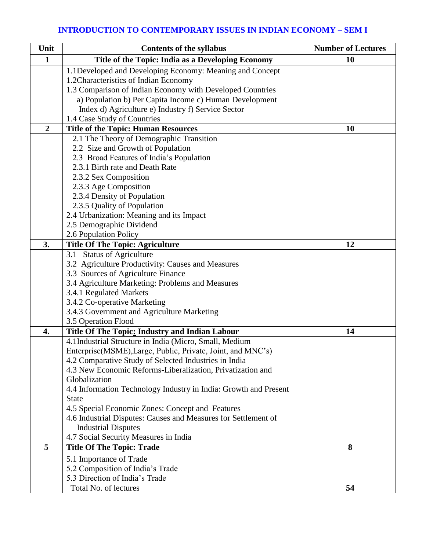## **INTRODUCTION TO CONTEMPORARY ISSUES IN INDIAN ECONOMY – SEM I**

| Unit             | <b>Contents of the syllabus</b>                                  | <b>Number of Lectures</b> |
|------------------|------------------------------------------------------------------|---------------------------|
| $\mathbf{1}$     | Title of the Topic: India as a Developing Economy                | 10                        |
|                  | 1.1 Developed and Developing Economy: Meaning and Concept        |                           |
|                  | 1.2Characteristics of Indian Economy                             |                           |
|                  | 1.3 Comparison of Indian Economy with Developed Countries        |                           |
|                  | a) Population b) Per Capita Income c) Human Development          |                           |
|                  | Index d) Agriculture e) Industry f) Service Sector               |                           |
|                  | 1.4 Case Study of Countries                                      |                           |
| $\boldsymbol{2}$ | <b>Title of the Topic: Human Resources</b>                       | <b>10</b>                 |
|                  | 2.1 The Theory of Demographic Transition                         |                           |
|                  | 2.2 Size and Growth of Population                                |                           |
|                  | 2.3 Broad Features of India's Population                         |                           |
|                  | 2.3.1 Birth rate and Death Rate                                  |                           |
|                  | 2.3.2 Sex Composition                                            |                           |
|                  | 2.3.3 Age Composition                                            |                           |
|                  | 2.3.4 Density of Population                                      |                           |
|                  | 2.3.5 Quality of Population                                      |                           |
|                  | 2.4 Urbanization: Meaning and its Impact                         |                           |
|                  | 2.5 Demographic Dividend                                         |                           |
|                  | 2.6 Population Policy                                            |                           |
| 3.               | <b>Title Of The Topic: Agriculture</b>                           | 12                        |
|                  | 3.1 Status of Agriculture                                        |                           |
|                  | 3.2 Agriculture Productivity: Causes and Measures                |                           |
|                  | 3.3 Sources of Agriculture Finance                               |                           |
|                  | 3.4 Agriculture Marketing: Problems and Measures                 |                           |
|                  | 3.4.1 Regulated Markets                                          |                           |
|                  | 3.4.2 Co-operative Marketing                                     |                           |
|                  | 3.4.3 Government and Agriculture Marketing                       |                           |
|                  | 3.5 Operation Flood                                              |                           |
| 4.               | Title Of The Topic: Industry and Indian Labour                   | 14                        |
|                  | 4.1Industrial Structure in India (Micro, Small, Medium           |                           |
|                  | Enterprise(MSME), Large, Public, Private, Joint, and MNC's)      |                           |
|                  | 4.2 Comparative Study of Selected Industries in India            |                           |
|                  | 4.3 New Economic Reforms-Liberalization, Privatization and       |                           |
|                  | Globalization                                                    |                           |
|                  | 4.4 Information Technology Industry in India: Growth and Present |                           |
|                  | <b>State</b>                                                     |                           |
|                  | 4.5 Special Economic Zones: Concept and Features                 |                           |
|                  | 4.6 Industrial Disputes: Causes and Measures for Settlement of   |                           |
|                  | <b>Industrial Disputes</b>                                       |                           |
|                  | 4.7 Social Security Measures in India                            |                           |
| 5                | <b>Title Of The Topic: Trade</b>                                 | 8                         |
|                  | 5.1 Importance of Trade                                          |                           |
|                  | 5.2 Composition of India's Trade                                 |                           |
|                  | 5.3 Direction of India's Trade                                   |                           |
|                  | Total No. of lectures                                            | 54                        |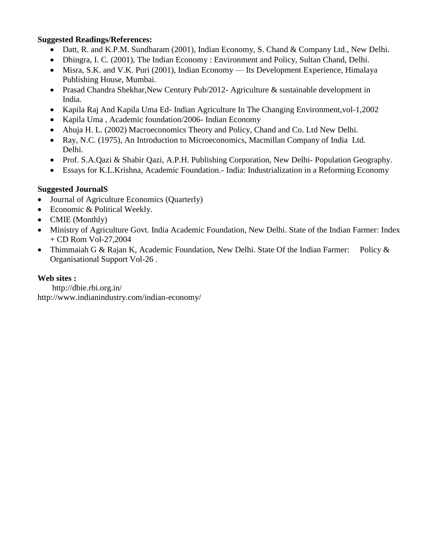### **Suggested Readings/References:**

- Datt, R. and K.P.M. Sundharam (2001), Indian Economy, S. Chand & Company Ltd., New Delhi.
- Dhingra, I. C. (2001), The Indian Economy : Environment and Policy, Sultan Chand, Delhi.
- Misra, S.K. and V.K. Puri (2001), Indian Economy Its Development Experience, Himalaya Publishing House, Mumbai.
- Prasad Chandra Shekhar,New Century Pub/2012- Agriculture & sustainable development in India.
- Kapila Raj And Kapila Uma Ed-Indian Agriculture In The Changing Environment, vol-1, 2002
- Kapila Uma, Academic foundation/2006- Indian Economy
- Ahuja H. L. (2002) Macroeconomics Theory and Policy, Chand and Co. Ltd New Delhi.
- Ray, N.C. (1975), An Introduction to Microeconomics, Macmillan Company of India Ltd. Delhi.
- Prof. S.A.Qazi & Shabir Qazi, A.P.H. Publishing Corporation, New Delhi- Population Geography.
- Essays for K.L.Krishna, Academic Foundation.- India: Industrialization in a Reforming Economy

### **Suggested JournalS**

- Journal of Agriculture Economics (Quarterly)
- Economic & Political Weekly.
- CMIE (Monthly)
- Ministry of Agriculture Govt. India Academic Foundation, New Delhi. State of the Indian Farmer: Index + CD Rom Vol-27,2004
- Thimmaiah G & Rajan K, Academic Foundation, New Delhi. State Of the Indian Farmer: Policy & Organisational Support Vol-26 .

### **Web sites :**

http://dbie.rbi.org.in/ http://www.indianindustry.com/indian-economy/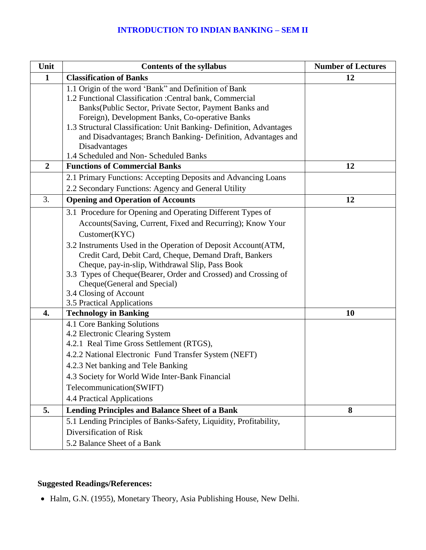## **INTRODUCTION TO INDIAN BANKING – SEM II**

| Unit             | <b>Contents of the syllabus</b>                                                                                                                                                                                                                                                                                                                                                                                                                                                  | <b>Number of Lectures</b> |
|------------------|----------------------------------------------------------------------------------------------------------------------------------------------------------------------------------------------------------------------------------------------------------------------------------------------------------------------------------------------------------------------------------------------------------------------------------------------------------------------------------|---------------------------|
| $\mathbf{1}$     | <b>Classification of Banks</b>                                                                                                                                                                                                                                                                                                                                                                                                                                                   | 12                        |
|                  | 1.1 Origin of the word 'Bank" and Definition of Bank<br>1.2 Functional Classification : Central bank, Commercial<br>Banks (Public Sector, Private Sector, Payment Banks and<br>Foreign), Development Banks, Co-operative Banks<br>1.3 Structural Classification: Unit Banking- Definition, Advantages<br>and Disadvantages; Branch Banking- Definition, Advantages and<br>Disadvantages<br>1.4 Scheduled and Non- Scheduled Banks                                                |                           |
| $\boldsymbol{2}$ | <b>Functions of Commercial Banks</b>                                                                                                                                                                                                                                                                                                                                                                                                                                             | 12                        |
|                  | 2.1 Primary Functions: Accepting Deposits and Advancing Loans                                                                                                                                                                                                                                                                                                                                                                                                                    |                           |
|                  | 2.2 Secondary Functions: Agency and General Utility                                                                                                                                                                                                                                                                                                                                                                                                                              |                           |
| 3.               | <b>Opening and Operation of Accounts</b>                                                                                                                                                                                                                                                                                                                                                                                                                                         | 12                        |
|                  | 3.1 Procedure for Opening and Operating Different Types of<br>Accounts (Saving, Current, Fixed and Recurring); Know Your<br>Customer(KYC)<br>3.2 Instruments Used in the Operation of Deposit Account(ATM,<br>Credit Card, Debit Card, Cheque, Demand Draft, Bankers<br>Cheque, pay-in-slip, Withdrawal Slip, Pass Book<br>3.3 Types of Cheque(Bearer, Order and Crossed) and Crossing of<br>Cheque(General and Special)<br>3.4 Closing of Account<br>3.5 Practical Applications |                           |
| $\overline{4}$ . | <b>Technology in Banking</b>                                                                                                                                                                                                                                                                                                                                                                                                                                                     | 10                        |
|                  | 4.1 Core Banking Solutions<br>4.2 Electronic Clearing System<br>4.2.1 Real Time Gross Settlement (RTGS),<br>4.2.2 National Electronic Fund Transfer System (NEFT)<br>4.2.3 Net banking and Tele Banking<br>4.3 Society for World Wide Inter-Bank Financial<br>Telecommunication(SWIFT)<br>4.4 Practical Applications                                                                                                                                                             |                           |
| 5.               | <b>Lending Principles and Balance Sheet of a Bank</b>                                                                                                                                                                                                                                                                                                                                                                                                                            | 8                         |
|                  | 5.1 Lending Principles of Banks-Safety, Liquidity, Profitability,<br>Diversification of Risk<br>5.2 Balance Sheet of a Bank                                                                                                                                                                                                                                                                                                                                                      |                           |

## **Suggested Readings/References:**

Halm, G.N. (1955), Monetary Theory, Asia Publishing House, New Delhi.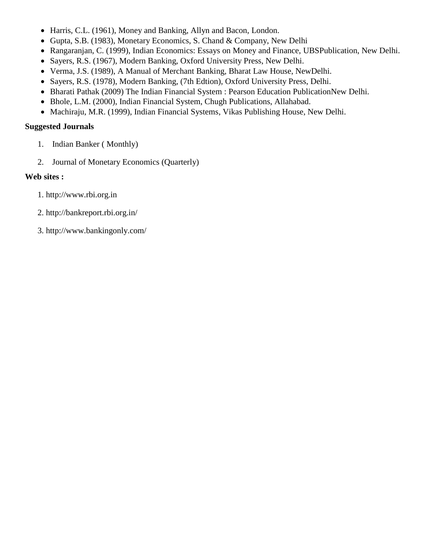- Harris, C.L. (1961), Money and Banking, Allyn and Bacon, London.
- Gupta, S.B. (1983), Monetary Economics, S. Chand & Company, New Delhi
- Rangaranjan, C. (1999), Indian Economics: Essays on Money and Finance, UBSPublication, New Delhi.
- Sayers, R.S. (1967), Modern Banking, Oxford University Press, New Delhi.
- Verma, J.S. (1989), A Manual of Merchant Banking, Bharat Law House, NewDelhi.
- Sayers, R.S. (1978), Modern Banking, (7th Edtion), Oxford University Press, Delhi.
- Bharati Pathak (2009) The Indian Financial System : Pearson Education PublicationNew Delhi.
- Bhole, L.M. (2000), Indian Financial System, Chugh Publications, Allahabad.
- Machiraju, M.R. (1999), Indian Financial Systems, Vikas Publishing House, New Delhi.

## **Suggested Journals**

- 1. Indian Banker ( Monthly)
- 2. Journal of Monetary Economics (Quarterly)

## **Web sites :**

- 1. http://www.rbi.org.in
- 2.<http://bankreport.rbi.org.in/>
- 3. http://www.bankingonly.com/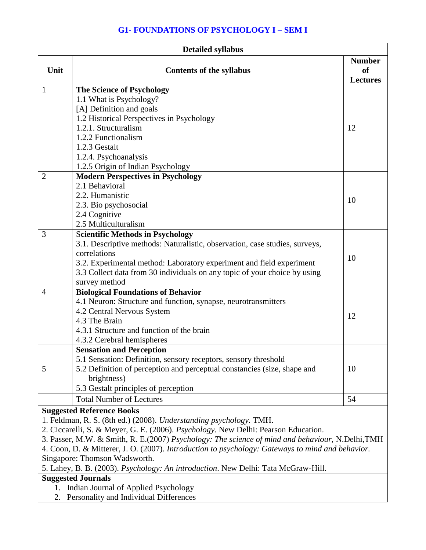## **G1- FOUNDATIONS OF PSYCHOLOGY I – SEM I**

| <b>Detailed syllabus</b>                                                                         |                                                                             |                                |
|--------------------------------------------------------------------------------------------------|-----------------------------------------------------------------------------|--------------------------------|
| Unit                                                                                             |                                                                             | <b>Number</b><br><sub>of</sub> |
|                                                                                                  | <b>Contents of the syllabus</b>                                             | <b>Lectures</b>                |
| 1                                                                                                | <b>The Science of Psychology</b>                                            |                                |
|                                                                                                  | 1.1 What is Psychology? -                                                   |                                |
|                                                                                                  | [A] Definition and goals                                                    |                                |
|                                                                                                  | 1.2 Historical Perspectives in Psychology                                   |                                |
|                                                                                                  | 1.2.1. Structuralism                                                        | 12                             |
|                                                                                                  | 1.2.2 Functionalism                                                         |                                |
|                                                                                                  | 1.2.3 Gestalt                                                               |                                |
|                                                                                                  | 1.2.4. Psychoanalysis                                                       |                                |
|                                                                                                  | 1.2.5 Origin of Indian Psychology                                           |                                |
| $\overline{2}$                                                                                   | <b>Modern Perspectives in Psychology</b>                                    |                                |
|                                                                                                  | 2.1 Behavioral                                                              |                                |
|                                                                                                  | 2.2. Humanistic                                                             | 10                             |
|                                                                                                  | 2.3. Bio psychosocial                                                       |                                |
|                                                                                                  | 2.4 Cognitive                                                               |                                |
|                                                                                                  | 2.5 Multiculturalism                                                        |                                |
| 3                                                                                                | <b>Scientific Methods in Psychology</b>                                     |                                |
|                                                                                                  | 3.1. Descriptive methods: Naturalistic, observation, case studies, surveys, |                                |
|                                                                                                  | correlations                                                                | 10                             |
|                                                                                                  | 3.2. Experimental method: Laboratory experiment and field experiment        |                                |
|                                                                                                  | 3.3 Collect data from 30 individuals on any topic of your choice by using   |                                |
|                                                                                                  | survey method                                                               |                                |
| $\overline{4}$                                                                                   | <b>Biological Foundations of Behavior</b>                                   |                                |
|                                                                                                  | 4.1 Neuron: Structure and function, synapse, neurotransmitters              |                                |
|                                                                                                  | 4.2 Central Nervous System                                                  | 12                             |
|                                                                                                  | 4.3 The Brain                                                               |                                |
|                                                                                                  | 4.3.1 Structure and function of the brain                                   |                                |
|                                                                                                  | 4.3.2 Cerebral hemispheres                                                  |                                |
|                                                                                                  | <b>Sensation and Perception</b>                                             |                                |
|                                                                                                  | 5.1 Sensation: Definition, sensory receptors, sensory threshold             |                                |
| 5                                                                                                | 5.2 Definition of perception and perceptual constancies (size, shape and    | 10                             |
|                                                                                                  | brightness)                                                                 |                                |
|                                                                                                  | 5.3 Gestalt principles of perception                                        |                                |
|                                                                                                  | <b>Total Number of Lectures</b>                                             | 54                             |
| <b>Suggested Reference Books</b>                                                                 |                                                                             |                                |
| 1. Feldman, R. S. (8th ed.) (2008). Understanding psychology. TMH.                               |                                                                             |                                |
| 2. Ciccarelli, S. & Meyer, G. E. (2006). <i>Psychology</i> . New Delhi: Pearson Education.       |                                                                             |                                |
| 3. Passer, M.W. & Smith, R. E.(2007) Psychology: The science of mind and behaviour, N.Delhi, TMH |                                                                             |                                |
| 4. Coon, D. & Mitterer, J. O. (2007). Introduction to psychology: Gateways to mind and behavior. |                                                                             |                                |
| Singapore: Thomson Wadsworth.                                                                    |                                                                             |                                |
| 5. Lahey, B. B. (2003). Psychology: An introduction. New Delhi: Tata McGraw-Hill.                |                                                                             |                                |
| <b>Suggested Journals</b>                                                                        |                                                                             |                                |

1. Indian Journal of Applied Psychology

2. Personality and Individual Differences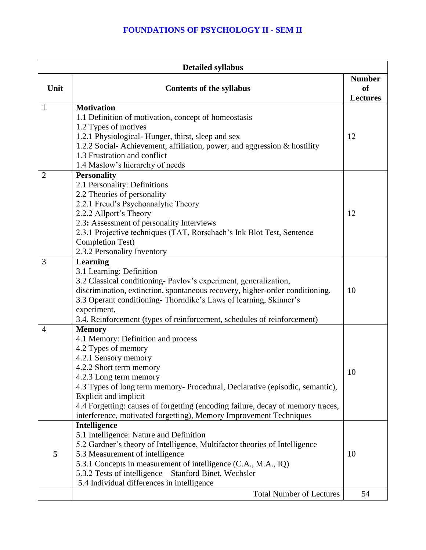## **FOUNDATIONS OF PSYCHOLOGY II - SEM II**

| <b>Detailed syllabus</b> |                                                                                                                                                                                                                                                                                                                                                                                                                           |                                               |
|--------------------------|---------------------------------------------------------------------------------------------------------------------------------------------------------------------------------------------------------------------------------------------------------------------------------------------------------------------------------------------------------------------------------------------------------------------------|-----------------------------------------------|
| Unit                     | <b>Contents of the syllabus</b>                                                                                                                                                                                                                                                                                                                                                                                           | <b>Number</b><br><b>of</b><br><b>Lectures</b> |
| 1                        | <b>Motivation</b><br>1.1 Definition of motivation, concept of homeostasis<br>1.2 Types of motives                                                                                                                                                                                                                                                                                                                         |                                               |
|                          | 1.2.1 Physiological-Hunger, thirst, sleep and sex<br>1.2.2 Social- Achievement, affiliation, power, and aggression & hostility<br>1.3 Frustration and conflict                                                                                                                                                                                                                                                            | 12                                            |
| $\overline{2}$           | 1.4 Maslow's hierarchy of needs                                                                                                                                                                                                                                                                                                                                                                                           |                                               |
|                          | <b>Personality</b><br>2.1 Personality: Definitions<br>2.2 Theories of personality<br>2.2.1 Freud's Psychoanalytic Theory<br>2.2.2 Allport's Theory                                                                                                                                                                                                                                                                        | 12                                            |
|                          | 2.3: Assessment of personality Interviews<br>2.3.1 Projective techniques (TAT, Rorschach's Ink Blot Test, Sentence<br><b>Completion Test)</b><br>2.3.2 Personality Inventory                                                                                                                                                                                                                                              |                                               |
| 3                        | <b>Learning</b><br>3.1 Learning: Definition<br>3.2 Classical conditioning- Pavlov's experiment, generalization,<br>discrimination, extinction, spontaneous recovery, higher-order conditioning.<br>3.3 Operant conditioning- Thorndike's Laws of learning, Skinner's<br>experiment,<br>3.4. Reinforcement (types of reinforcement, schedules of reinforcement)                                                            | 10                                            |
| $\overline{4}$           | <b>Memory</b><br>4.1 Memory: Definition and process<br>4.2 Types of memory<br>4.2.1 Sensory memory<br>4.2.2 Short term memory<br>4.2.3 Long term memory<br>4.3 Types of long term memory- Procedural, Declarative (episodic, semantic),<br>Explicit and implicit<br>4.4 Forgetting: causes of forgetting (encoding failure, decay of memory traces,<br>interference, motivated forgetting), Memory Improvement Techniques | 10                                            |
| 5                        | <b>Intelligence</b><br>5.1 Intelligence: Nature and Definition<br>5.2 Gardner's theory of Intelligence, Multifactor theories of Intelligence<br>5.3 Measurement of intelligence<br>5.3.1 Concepts in measurement of intelligence (C.A., M.A., IQ)<br>5.3.2 Tests of intelligence - Stanford Binet, Wechsler<br>5.4 Individual differences in intelligence                                                                 | 10                                            |
|                          | <b>Total Number of Lectures</b>                                                                                                                                                                                                                                                                                                                                                                                           | 54                                            |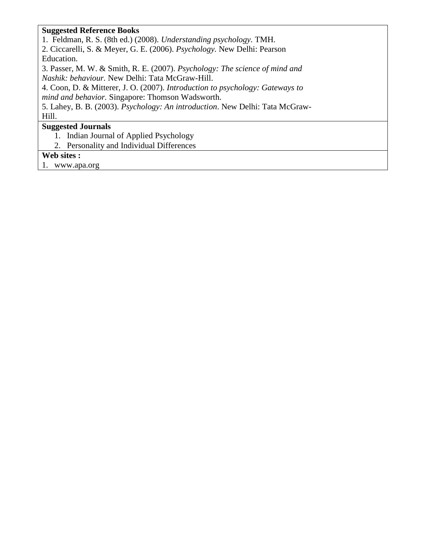### **Suggested Reference Books**

1. Feldman, R. S. (8th ed.) (2008). *Understanding psychology.* TMH. 2. Ciccarelli, S. & Meyer, G. E. (2006). *Psychology.* New Delhi: Pearson Education. 3. Passer, M. W. & Smith, R. E. (2007). *Psychology: The science of mind and Nashik: behaviour.* New Delhi: Tata McGraw-Hill. 4. Coon, D. & Mitterer, J. O. (2007). *Introduction to psychology: Gateways to mind and behavior.* Singapore: Thomson Wadsworth. 5. Lahey, B. B. (2003). *Psychology: An introduction*. New Delhi: Tata McGraw-

Hill.

## **Suggested Journals**

- 1. Indian Journal of Applied Psychology
- 2. Personality and Individual Differences

### **Web sites :**

1. www.apa.org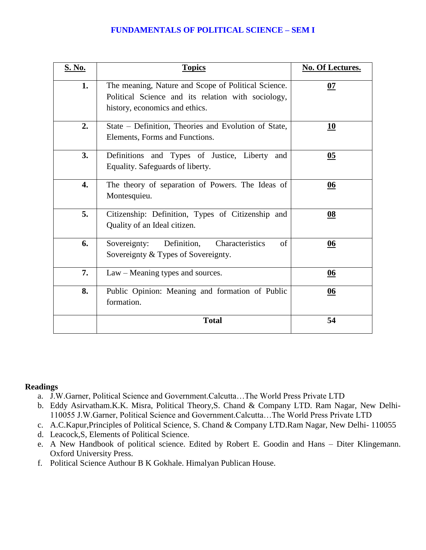## **FUNDAMENTALS OF POLITICAL SCIENCE – SEM I**

| <b>S. No.</b> | <b>Topics</b>                                                                               | <b>No. Of Lectures.</b> |
|---------------|---------------------------------------------------------------------------------------------|-------------------------|
| 1.            | The meaning, Nature and Scope of Political Science.                                         | 07                      |
|               | Political Science and its relation with sociology,<br>history, economics and ethics.        |                         |
| 2.            | State - Definition, Theories and Evolution of State,<br>Elements, Forms and Functions.      | 10                      |
| 3.            | Definitions and Types of Justice, Liberty and<br>Equality. Safeguards of liberty.           | $\underline{05}$        |
| 4.            | The theory of separation of Powers. The Ideas of<br>Montesquieu.                            | 06                      |
| 5.            | Citizenship: Definition, Types of Citizenship and<br>Quality of an Ideal citizen.           | 08                      |
| 6.            | Definition,<br>Characteristics<br>Sovereignty:<br>of<br>Sovereignty & Types of Sovereignty. | 06                      |
| 7.            | Law – Meaning types and sources.                                                            | 06                      |
| 8.            | Public Opinion: Meaning and formation of Public<br>formation.                               | 06                      |
|               | <b>Total</b>                                                                                | 54                      |

### **Readings**

- a. J.W.Garner, Political Science and Government.Calcutta…The World Press Private LTD
- b. Eddy Asirvatham.K.K. Misra, Political Theory,S. Chand & Company LTD. Ram Nagar, New Delhi-110055 J.W.Garner, Political Science and Government.Calcutta…The World Press Private LTD
- c. A.C.Kapur,Principles of Political Science, S. Chand & Company LTD.Ram Nagar, New Delhi- 110055
- d. Leacock,S, Elements of Political Science.
- e. A New Handbook of political science. Edited by Robert E. Goodin and Hans Diter Klingemann. Oxford University Press.
- f. Political Science Authour B K Gokhale. Himalyan Publican House.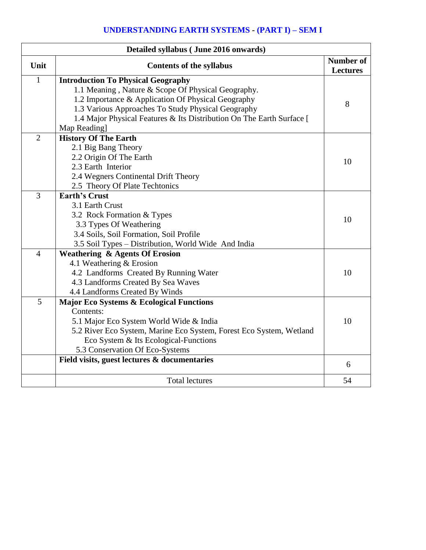## **UNDERSTANDING EARTH SYSTEMS - (PART I) – SEM I**

| Detailed syllabus (June 2016 onwards) |                                                                       |                              |
|---------------------------------------|-----------------------------------------------------------------------|------------------------------|
| Unit                                  | <b>Contents of the syllabus</b>                                       | Number of<br><b>Lectures</b> |
| $\mathbf{1}$                          | <b>Introduction To Physical Geography</b>                             |                              |
|                                       | 1.1 Meaning, Nature & Scope Of Physical Geography.                    |                              |
|                                       | 1.2 Importance & Application Of Physical Geography                    | 8                            |
|                                       | 1.3 Various Approaches To Study Physical Geography                    |                              |
|                                       | 1.4 Major Physical Features & Its Distribution On The Earth Surface [ |                              |
|                                       | Map Reading]                                                          |                              |
| $\overline{2}$                        | <b>History Of The Earth</b>                                           |                              |
|                                       | 2.1 Big Bang Theory                                                   |                              |
|                                       | 2.2 Origin Of The Earth                                               | 10                           |
|                                       | 2.3 Earth Interior                                                    |                              |
|                                       | 2.4 Wegners Continental Drift Theory                                  |                              |
|                                       | 2.5 Theory Of Plate Techtonics                                        |                              |
| 3                                     | <b>Earth's Crust</b>                                                  |                              |
|                                       | 3.1 Earth Crust                                                       |                              |
|                                       | 3.2 Rock Formation & Types                                            | 10                           |
|                                       | 3.3 Types Of Weathering                                               |                              |
|                                       | 3.4 Soils, Soil Formation, Soil Profile                               |                              |
|                                       | 3.5 Soil Types - Distribution, World Wide And India                   |                              |
| $\overline{4}$                        | <b>Weathering &amp; Agents Of Erosion</b>                             |                              |
|                                       | 4.1 Weathering & Erosion                                              |                              |
|                                       | 4.2 Landforms Created By Running Water                                | 10                           |
|                                       | 4.3 Landforms Created By Sea Waves                                    |                              |
|                                       | 4.4 Landforms Created By Winds                                        |                              |
| 5                                     | <b>Major Eco Systems &amp; Ecological Functions</b>                   |                              |
|                                       | Contents:                                                             |                              |
|                                       | 5.1 Major Eco System World Wide & India                               | 10                           |
|                                       | 5.2 River Eco System, Marine Eco System, Forest Eco System, Wetland   |                              |
|                                       | Eco System & Its Ecological-Functions                                 |                              |
|                                       | 5.3 Conservation Of Eco-Systems                                       |                              |
|                                       | Field visits, guest lectures & documentaries                          | 6                            |
|                                       |                                                                       |                              |
|                                       | <b>Total lectures</b>                                                 | 54                           |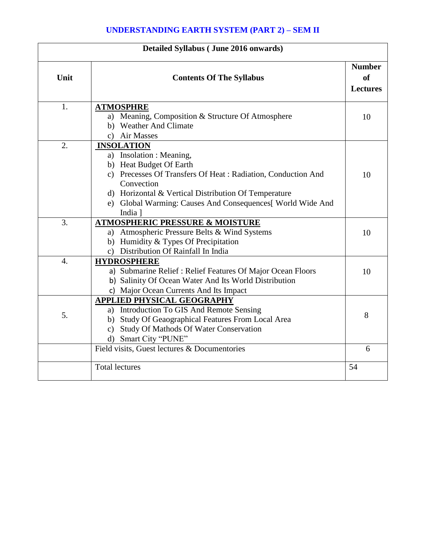## **UNDERSTANDING EARTH SYSTEM (PART 2) – SEM II**

| Detailed Syllabus (June 2016 onwards) |                                                                                                                                                                                                                                                                                         |                                               |
|---------------------------------------|-----------------------------------------------------------------------------------------------------------------------------------------------------------------------------------------------------------------------------------------------------------------------------------------|-----------------------------------------------|
| Unit                                  | <b>Contents Of The Syllabus</b>                                                                                                                                                                                                                                                         | <b>Number</b><br><b>of</b><br><b>Lectures</b> |
| 1.                                    | <b>ATMOSPHRE</b><br>a) Meaning, Composition & Structure Of Atmosphere<br>b) Weather And Climate<br>c) Air Masses                                                                                                                                                                        | 10                                            |
| 2.                                    | <b>INSOLATION</b><br>a) Insolation : Meaning,<br>b) Heat Budget Of Earth<br>c) Precesses Of Transfers Of Heat: Radiation, Conduction And<br>Convection<br>d) Horizontal & Vertical Distribution Of Temperature<br>e) Global Warming: Causes And Consequences [World Wide And<br>India 1 | 10                                            |
| 3.                                    | <b>ATMOSPHERIC PRESSURE &amp; MOISTURE</b><br>a) Atmospheric Pressure Belts & Wind Systems<br>b) Humidity & Types Of Precipitation<br>c) Distribution Of Rainfall In India                                                                                                              | 10                                            |
| $\overline{4}$ .                      | <b>HYDROSPHERE</b><br>a) Submarine Relief : Relief Features Of Major Ocean Floors<br>b) Salinity Of Ocean Water And Its World Distribution<br>c) Major Ocean Currents And Its Impact                                                                                                    | 10                                            |
| 5.                                    | <b>APPLIED PHYSICAL GEOGRAPHY</b><br>a) Introduction To GIS And Remote Sensing<br>b) Study Of Geaographical Features From Local Area<br>c) Study Of Mathods Of Water Conservation<br>d) Smart City "PUNE"                                                                               | 8                                             |
|                                       | Field visits, Guest lectures & Documentories                                                                                                                                                                                                                                            | 6                                             |
|                                       | <b>Total lectures</b>                                                                                                                                                                                                                                                                   | 54                                            |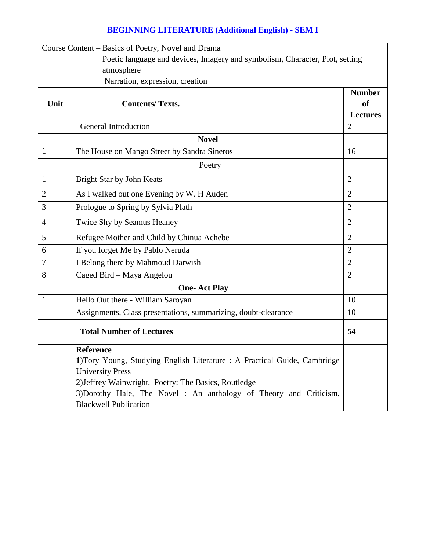# **BEGINNING LITERATURE (Additional English) - SEM I**

|                                                                              | Course Content – Basics of Poetry, Novel and Drama                        |                 |  |
|------------------------------------------------------------------------------|---------------------------------------------------------------------------|-----------------|--|
| Poetic language and devices, Imagery and symbolism, Character, Plot, setting |                                                                           |                 |  |
| atmosphere                                                                   |                                                                           |                 |  |
|                                                                              | Narration, expression, creation                                           |                 |  |
|                                                                              |                                                                           | <b>Number</b>   |  |
| Unit                                                                         | <b>Contents/Texts.</b>                                                    | <sub>of</sub>   |  |
|                                                                              |                                                                           | <b>Lectures</b> |  |
|                                                                              | General Introduction                                                      | $\overline{2}$  |  |
|                                                                              | <b>Novel</b>                                                              |                 |  |
| $\mathbf{1}$                                                                 | The House on Mango Street by Sandra Sineros                               | 16              |  |
|                                                                              | Poetry                                                                    |                 |  |
| $\mathbf{1}$                                                                 | Bright Star by John Keats                                                 | $\overline{2}$  |  |
| 2                                                                            | As I walked out one Evening by W. H Auden                                 | $\overline{2}$  |  |
| 3                                                                            | Prologue to Spring by Sylvia Plath                                        | $\overline{2}$  |  |
| 4                                                                            | Twice Shy by Seamus Heaney                                                | $\overline{2}$  |  |
| 5                                                                            | Refugee Mother and Child by Chinua Achebe                                 | $\overline{2}$  |  |
| 6                                                                            | If you forget Me by Pablo Neruda                                          | $\overline{2}$  |  |
| 7                                                                            | I Belong there by Mahmoud Darwish -                                       | $\overline{2}$  |  |
| 8                                                                            | Caged Bird - Maya Angelou                                                 | $\overline{2}$  |  |
|                                                                              | <b>One-Act Play</b>                                                       |                 |  |
| $\mathbf{1}$                                                                 | Hello Out there - William Saroyan                                         | 10              |  |
|                                                                              | Assignments, Class presentations, summarizing, doubt-clearance            | 10              |  |
|                                                                              | <b>Total Number of Lectures</b>                                           | 54              |  |
|                                                                              | <b>Reference</b>                                                          |                 |  |
|                                                                              | 1) Tory Young, Studying English Literature : A Practical Guide, Cambridge |                 |  |
|                                                                              | <b>University Press</b>                                                   |                 |  |
|                                                                              | 2) Jeffrey Wainwright, Poetry: The Basics, Routledge                      |                 |  |
| 3)Dorothy Hale, The Novel: An anthology of Theory and Criticism,             |                                                                           |                 |  |
|                                                                              | <b>Blackwell Publication</b>                                              |                 |  |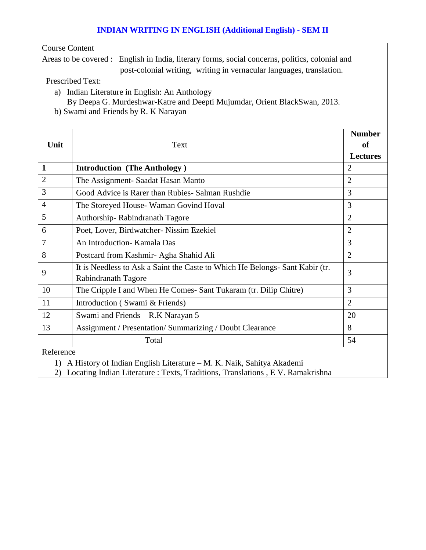## **INDIAN WRITING IN ENGLISH (Additional English) - SEM II**

| <b>Course Content</b> |  |
|-----------------------|--|
|-----------------------|--|

Areas to be covered : English in India, literary forms, social concerns, politics, colonial and post-colonial writing, writing in vernacular languages, translation.

Prescribed Text:

- a) Indian Literature in English: An Anthology
	- By Deepa G. Murdeshwar-Katre and Deepti Mujumdar, Orient BlackSwan, 2013.
- b) Swami and Friends by R. K Narayan

|                                                                         |                                                                              | <b>Number</b>   |  |
|-------------------------------------------------------------------------|------------------------------------------------------------------------------|-----------------|--|
| Unit                                                                    | Text                                                                         | of              |  |
|                                                                         |                                                                              | <b>Lectures</b> |  |
| $\mathbf{1}$                                                            | <b>Introduction (The Anthology)</b>                                          | $\overline{2}$  |  |
| $\overline{2}$                                                          | The Assignment- Saadat Hasan Manto                                           | $\overline{2}$  |  |
| 3                                                                       | Good Advice is Rarer than Rubies- Salman Rushdie                             | 3               |  |
| $\overline{4}$                                                          | The Storeyed House-Waman Govind Hoval                                        | 3               |  |
| 5                                                                       | Authorship-Rabindranath Tagore                                               | $\overline{2}$  |  |
| 6                                                                       | Poet, Lover, Birdwatcher- Nissim Ezekiel                                     | $\overline{2}$  |  |
| 7                                                                       | An Introduction - Kamala Das                                                 | 3               |  |
| 8                                                                       | Postcard from Kashmir- Agha Shahid Ali                                       | $\overline{2}$  |  |
| 9                                                                       | It is Needless to Ask a Saint the Caste to Which He Belongs- Sant Kabir (tr. | 3               |  |
|                                                                         | Rabindranath Tagore                                                          |                 |  |
| 10                                                                      | The Cripple I and When He Comes- Sant Tukaram (tr. Dilip Chitre)             | 3               |  |
| 11                                                                      | Introduction (Swami & Friends)                                               | $\overline{2}$  |  |
| 12                                                                      | Swami and Friends - R.K Narayan 5                                            | 20              |  |
| 13                                                                      | Assignment / Presentation/ Summarizing / Doubt Clearance                     | 8               |  |
|                                                                         | Total                                                                        | 54              |  |
| Reference                                                               |                                                                              |                 |  |
| 1) A History of Indian English Literature – M. K. Naik, Sahitya Akademi |                                                                              |                 |  |

2) Locating Indian Literature : Texts, Traditions, Translations , E V. Ramakrishna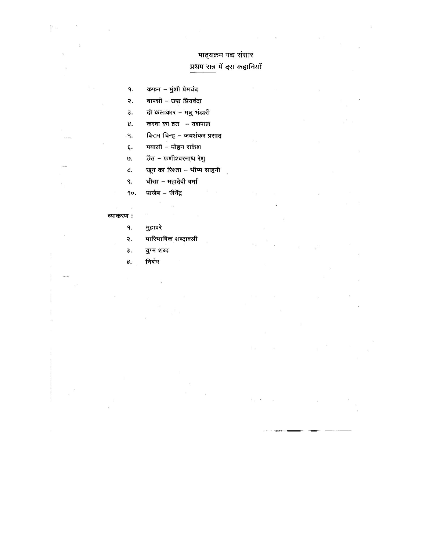## पाठ्यक्रम गद्य संसार प्रथम सत्र में दस कहानियाँ

 $\tilde{v}_{-3}$ 

 $\mathbb{R}^n \times \mathbb{R}^n$ 

 $\bar{\alpha}$ 

ä

 $\bar{a}$  .

कफन – मुंशी प्रेमचंद ٩.

वापसी – उषा प्रियवंदा ₹.

З. दो कलाकार - मन्नु भंडारी

करवा का व्रत – यशपाल 8.

विराम चिन्ह – जयशंकर प्रसाद Ч.

मवाली – मोहन राकेश ٤.

ठेंस - फणीश्वरनाथ रेणु U.

खून का रिश्ता – भीष्म साहनी  $\epsilon$ .

 $\sim$ 

घीसा - महादेवी वर्मा ٩.

पाजेब – जैनेंद्र 90.

#### व्याकरण:

मुहावरे ٩.

पारिभाषिक शब्दावली  $\overline{R}$ 

 $\label{eq:3.1} \mathbf{a}_i = \mathbf{a}_i + \mathbf{a}_i + \mathbf{a}_i$ 

युग्म शब्द З.

निबंध 8.

 $\overline{\phantom{a}}$ 

 $\hat{t}$ 

 $\frac{1}{2}$ 

 $\mathbb{R}^d$ lisa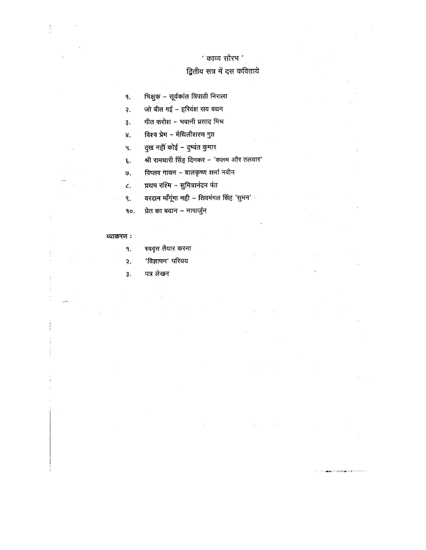#### $'$  काव्य सौरभ $'$

## द्वितीय सत्र में दस कविताये

אויאויביביביבי <mark>באו</mark>וו

भिक्षुक - सूर्यकांत त्रिपाठी निराला ٩.

जो बीत गई - हरिवंश राय बचन ₹.

गीत फरोश - भवानी प्रसाद मिश्र 3.

विश्व प्रेम - मैथिलीशरण गुप्त  $8<sub>z</sub>$ 

दुख नहीं कोई - दुष्यंत कुमार Ч.

श्री रामधारी सिंह दिनकर - 'कलम और तलवार' ξ.

विप्लव गायन - बालकृष्ण शर्मा नवीन ७.

प्रथम रश्मि - सुमित्रानंदन पंत  $\epsilon$ .

वरदान माँगूंगा नही - शिवमंगल सिंह 'सुमन' ९.

प्रेत का बयान - नागार्जुन **90.** 

#### व्याकरण:

 $\frac{1}{2}$ 

स्ववृत्त तैयार करना ٩.

 $\bar{z}$ 

'विज्ञापन' परिचय  $\mathbf{R}$ 

पत्र लेखन  $\overline{\mathcal{L}}$